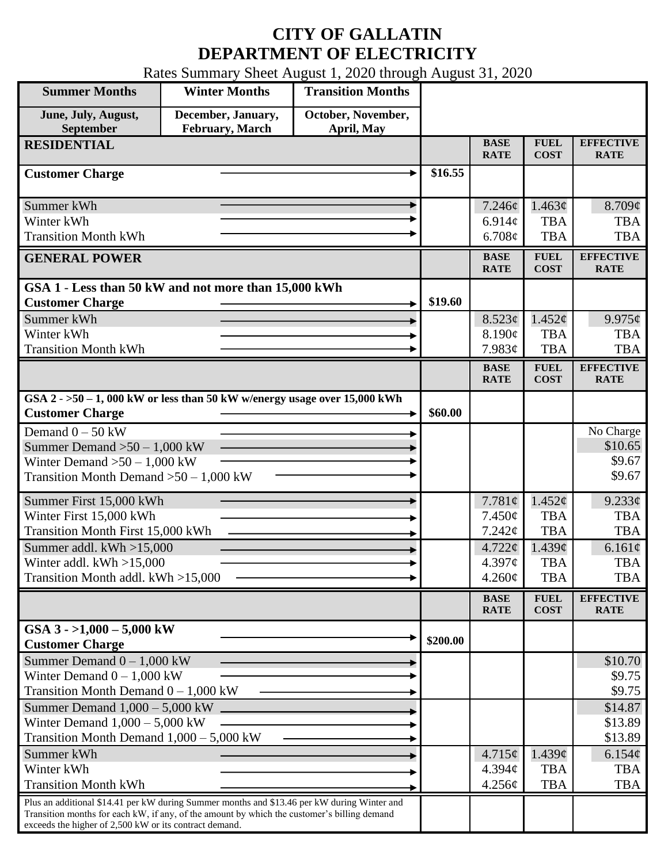## **CITY OF GALLATIN DEPARTMENT OF ELECTRICITY**

Rates Summary Sheet August 1, 2020 through August 31, 2020

| <b>Summer Months</b>                                                                                                                                  | <b>Winter Months</b>                  | <b>Transition Months</b>         |          |                            |                            |                                 |
|-------------------------------------------------------------------------------------------------------------------------------------------------------|---------------------------------------|----------------------------------|----------|----------------------------|----------------------------|---------------------------------|
| June, July, August,<br>September                                                                                                                      | December, January,<br>February, March | October, November,<br>April, May |          |                            |                            |                                 |
| <b>RESIDENTIAL</b>                                                                                                                                    |                                       |                                  |          | <b>BASE</b><br><b>RATE</b> | <b>FUEL</b><br><b>COST</b> | <b>EFFECTIVE</b><br><b>RATE</b> |
| <b>Customer Charge</b>                                                                                                                                |                                       |                                  | \$16.55  |                            |                            |                                 |
| Summer kWh                                                                                                                                            |                                       |                                  |          | 7.246¢                     | 1.463¢                     | 8.709¢                          |
| Winter kWh                                                                                                                                            |                                       |                                  |          | 6.914 $\phi$               | <b>TBA</b>                 | <b>TBA</b>                      |
| <b>Transition Month kWh</b>                                                                                                                           |                                       |                                  |          | 6.708¢                     | <b>TBA</b>                 | <b>TBA</b>                      |
| <b>GENERAL POWER</b>                                                                                                                                  |                                       |                                  |          | <b>BASE</b><br><b>RATE</b> | <b>FUEL</b><br><b>COST</b> | <b>EFFECTIVE</b><br><b>RATE</b> |
| GSA 1 - Less than 50 kW and not more than 15,000 kWh                                                                                                  |                                       |                                  |          |                            |                            |                                 |
| <b>Customer Charge</b>                                                                                                                                |                                       |                                  | \$19.60  |                            |                            |                                 |
| Summer kWh                                                                                                                                            |                                       |                                  |          | 8.523¢<br>8.190¢           | 1.452¢<br><b>TBA</b>       | 9.975¢<br><b>TBA</b>            |
| Winter kWh<br><b>Transition Month kWh</b>                                                                                                             |                                       |                                  |          | 7.983¢                     | <b>TBA</b>                 | <b>TBA</b>                      |
|                                                                                                                                                       |                                       |                                  |          | <b>BASE</b>                | <b>FUEL</b>                | <b>EFFECTIVE</b>                |
|                                                                                                                                                       |                                       |                                  |          | <b>RATE</b>                | <b>COST</b>                | <b>RATE</b>                     |
| GSA $2 - 50 - 1$ , 000 kW or less than 50 kW w/energy usage over 15,000 kWh<br><b>Customer Charge</b>                                                 |                                       |                                  | \$60.00  |                            |                            |                                 |
| Demand $0 - 50$ kW                                                                                                                                    |                                       |                                  |          |                            |                            | No Charge                       |
| Summer Demand $>50-1,000$ kW                                                                                                                          |                                       |                                  |          |                            |                            | \$10.65                         |
| Winter Demand $>50 - 1,000$ kW                                                                                                                        |                                       |                                  |          |                            |                            | \$9.67                          |
| Transition Month Demand $>50-1,000$ kW                                                                                                                |                                       |                                  |          |                            |                            | \$9.67                          |
| Summer First 15,000 kWh                                                                                                                               |                                       |                                  |          | 7.781 $\phi$               | 1.452¢                     | 9.233¢                          |
| Winter First 15,000 kWh                                                                                                                               |                                       |                                  |          | 7.450¢                     | <b>TBA</b>                 | <b>TBA</b>                      |
| <b>Transition Month First 15,000 kWh</b>                                                                                                              |                                       |                                  |          | 7.242¢                     | <b>TBA</b>                 | <b>TBA</b>                      |
| Summer addl. $kWh > 15,000$                                                                                                                           |                                       |                                  |          | $4.722 \phi$               | $1.439\mathcal{C}$         | 6.161¢                          |
| Winter addl. $kWh > 15,000$<br>Transition Month addl. kWh >15,000                                                                                     |                                       |                                  |          | 4.397¢<br>$4.260\phi$      | <b>TBA</b><br><b>TBA</b>   | <b>TBA</b><br><b>TBA</b>        |
|                                                                                                                                                       |                                       |                                  |          |                            |                            |                                 |
|                                                                                                                                                       |                                       |                                  |          | <b>BASE</b><br><b>RATE</b> | <b>FUEL</b><br><b>COST</b> | <b>EFFECTIVE</b><br><b>RATE</b> |
| GSA $3 - 1,000 - 5,000$ kW<br><b>Customer Charge</b>                                                                                                  |                                       |                                  | \$200.00 |                            |                            |                                 |
| Summer Demand $0 - 1,000$ kW                                                                                                                          |                                       |                                  |          |                            |                            | \$10.70                         |
| Winter Demand $0 - 1,000$ kW                                                                                                                          |                                       |                                  |          |                            |                            | \$9.75                          |
| Transition Month Demand $0 - 1,000$ kW                                                                                                                |                                       |                                  |          |                            |                            | \$9.75                          |
| Summer Demand $1,000 - 5,000$ kW.<br>Winter Demand $1,000 - 5,000$ kW                                                                                 |                                       |                                  |          |                            |                            | \$14.87                         |
| Transition Month Demand 1,000 - 5,000 kW                                                                                                              |                                       |                                  |          |                            |                            | \$13.89<br>\$13.89              |
| Summer kWh                                                                                                                                            |                                       |                                  |          | 4.715¢                     | 1.439¢                     | 6.154¢                          |
| Winter kWh                                                                                                                                            |                                       |                                  |          | 4.394 <sub>c</sub>         | <b>TBA</b>                 | <b>TBA</b>                      |
| <b>Transition Month kWh</b>                                                                                                                           |                                       |                                  |          | 4.256¢                     | <b>TBA</b>                 | <b>TBA</b>                      |
| Plus an additional \$14.41 per kW during Summer months and \$13.46 per kW during Winter and                                                           |                                       |                                  |          |                            |                            |                                 |
| Transition months for each kW, if any, of the amount by which the customer's billing demand<br>exceeds the higher of 2,500 kW or its contract demand. |                                       |                                  |          |                            |                            |                                 |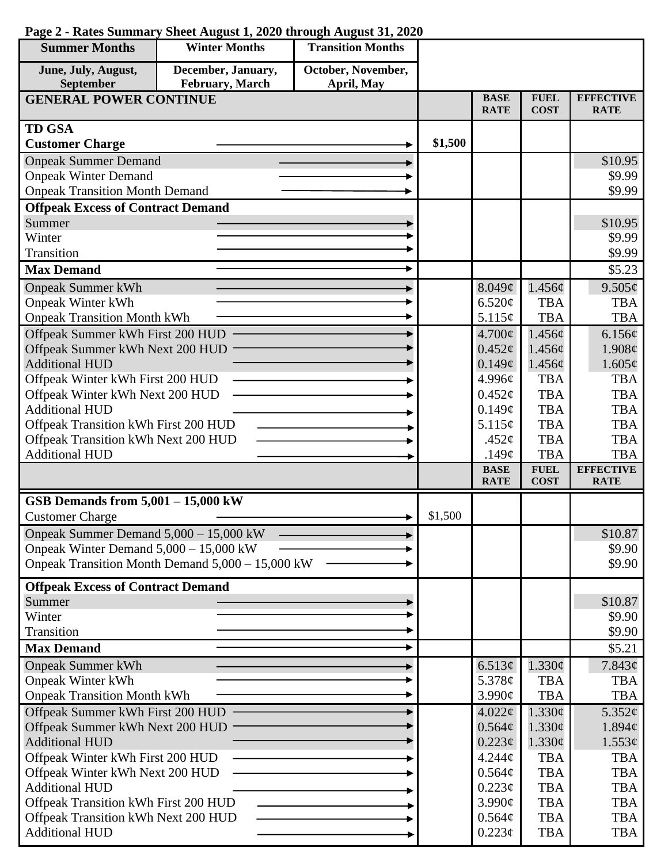| <b>Summer Months</b>                                         | <b>Winter Months</b>                             | <b>Transition Months</b> |         |                               |                            |                                 |
|--------------------------------------------------------------|--------------------------------------------------|--------------------------|---------|-------------------------------|----------------------------|---------------------------------|
| June, July, August,                                          | December, January,                               | October, November,       |         |                               |                            |                                 |
| September                                                    | February, March                                  | April, May               |         |                               |                            |                                 |
| <b>GENERAL POWER CONTINUE</b>                                |                                                  |                          |         | <b>BASE</b><br><b>RATE</b>    | <b>FUEL</b><br><b>COST</b> | <b>EFFECTIVE</b><br><b>RATE</b> |
| <b>TD GSA</b>                                                |                                                  |                          |         |                               |                            |                                 |
| <b>Customer Charge</b>                                       |                                                  |                          | \$1,500 |                               |                            |                                 |
| <b>Onpeak Summer Demand</b>                                  |                                                  |                          |         |                               |                            | \$10.95                         |
| <b>Onpeak Winter Demand</b>                                  |                                                  |                          |         |                               |                            | \$9.99                          |
| <b>Onpeak Transition Month Demand</b>                        |                                                  |                          |         |                               |                            | \$9.99                          |
| <b>Offpeak Excess of Contract Demand</b>                     |                                                  |                          |         |                               |                            |                                 |
| Summer                                                       |                                                  |                          |         |                               |                            | \$10.95                         |
| Winter                                                       |                                                  |                          |         |                               |                            | \$9.99                          |
| Transition                                                   |                                                  |                          |         |                               |                            | \$9.99                          |
| <b>Max Demand</b>                                            |                                                  |                          |         |                               |                            | \$5.23                          |
| <b>Onpeak Summer kWh</b>                                     |                                                  |                          |         | 8.049¢                        | 1.456¢                     | 9.505¢                          |
| <b>Onpeak Winter kWh</b>                                     |                                                  |                          |         | 6.520¢                        | <b>TBA</b>                 | <b>TBA</b>                      |
| <b>Onpeak Transition Month kWh</b>                           |                                                  |                          |         | 5.115¢                        | <b>TBA</b>                 | <b>TBA</b>                      |
| Offpeak Summer kWh First 200 HUD                             |                                                  |                          |         | $4.700\phi$                   | 1.456¢                     | 6.156¢                          |
| Offpeak Summer kWh Next 200 HUD                              |                                                  |                          |         | $0.452\epsilon$               | 1.456¢                     | 1.908¢                          |
| <b>Additional HUD</b>                                        |                                                  |                          |         | 0.149¢                        | 1.456¢                     | 1.605¢                          |
| Offpeak Winter kWh First 200 HUD                             |                                                  |                          |         | 4.996¢                        | <b>TBA</b>                 | <b>TBA</b>                      |
| Offpeak Winter kWh Next 200 HUD                              |                                                  |                          |         | $0.452\varphi$                | <b>TBA</b>                 | <b>TBA</b>                      |
| <b>Additional HUD</b>                                        |                                                  |                          |         | 0.149¢                        | <b>TBA</b>                 | <b>TBA</b>                      |
| Offpeak Transition kWh First 200 HUD                         |                                                  |                          |         | 5.115¢                        | <b>TBA</b>                 | <b>TBA</b>                      |
| Offpeak Transition kWh Next 200 HUD<br><b>Additional HUD</b> |                                                  |                          |         | .452 $\varphi$<br>.149 $\phi$ | <b>TBA</b><br><b>TBA</b>   | <b>TBA</b><br><b>TBA</b>        |
|                                                              |                                                  |                          |         | <b>BASE</b>                   | <b>FUEL</b>                | <b>EFFECTIVE</b>                |
|                                                              |                                                  |                          |         | <b>RATE</b>                   | <b>COST</b>                | <b>RATE</b>                     |
| GSB Demands from $5,001 - 15,000$ kW                         |                                                  |                          |         |                               |                            |                                 |
| <b>Customer Charge</b>                                       |                                                  |                          | \$1,500 |                               |                            |                                 |
| Onpeak Summer Demand $5,000 - 15,000$ kW                     |                                                  |                          |         |                               |                            | \$10.87                         |
| Onpeak Winter Demand $5,000 - 15,000$ kW                     |                                                  |                          |         |                               |                            | \$9.90                          |
|                                                              | Onpeak Transition Month Demand 5,000 - 15,000 kW |                          |         |                               |                            | \$9.90                          |
| <b>Offpeak Excess of Contract Demand</b>                     |                                                  |                          |         |                               |                            |                                 |
| Summer                                                       |                                                  |                          |         |                               |                            | \$10.87                         |
| Winter                                                       |                                                  |                          |         |                               |                            | \$9.90                          |
| Transition                                                   |                                                  |                          |         |                               |                            | \$9.90                          |
| <b>Max Demand</b>                                            |                                                  |                          |         |                               |                            | \$5.21                          |
| <b>Onpeak Summer kWh</b>                                     |                                                  |                          |         | 6.513¢                        | 1.330¢                     | 7.843¢                          |
| <b>Onpeak Winter kWh</b>                                     |                                                  |                          |         | 5.378 $\phi$                  | <b>TBA</b>                 | <b>TBA</b>                      |
| <b>Onpeak Transition Month kWh</b>                           |                                                  |                          |         | 3.990¢                        | <b>TBA</b>                 | <b>TBA</b>                      |
| Offpeak Summer kWh First 200 HUD                             |                                                  |                          |         | 4.022¢                        | 1.330¢                     | $5.352\ell$                     |
| Offpeak Summer kWh Next 200 HUD                              |                                                  |                          |         | 0.564¢                        | 1.330¢                     | $1.894\ell$                     |
| <b>Additional HUD</b>                                        |                                                  |                          |         | 0.223¢                        | 1.330¢                     | $1.553\ell$                     |
| Offpeak Winter kWh First 200 HUD                             |                                                  |                          |         | 4.244 <sub>c</sub>            | <b>TBA</b>                 | <b>TBA</b>                      |
| Offpeak Winter kWh Next 200 HUD                              |                                                  |                          |         | 0.564¢                        | <b>TBA</b>                 | <b>TBA</b>                      |
| <b>Additional HUD</b>                                        |                                                  |                          |         | $0.223\phi$                   | <b>TBA</b>                 | <b>TBA</b>                      |
| Offpeak Transition kWh First 200 HUD                         |                                                  |                          |         | $3.990\text{¢}$<br>0.564¢     | <b>TBA</b><br><b>TBA</b>   | <b>TBA</b><br><b>TBA</b>        |
| Offpeak Transition kWh Next 200 HUD<br><b>Additional HUD</b> |                                                  |                          |         | $0.223\phi$                   | <b>TBA</b>                 | <b>TBA</b>                      |
|                                                              |                                                  |                          |         |                               |                            |                                 |

## **Page 2 - Rates Summary Sheet August 1, 2020 through August 31, 2020**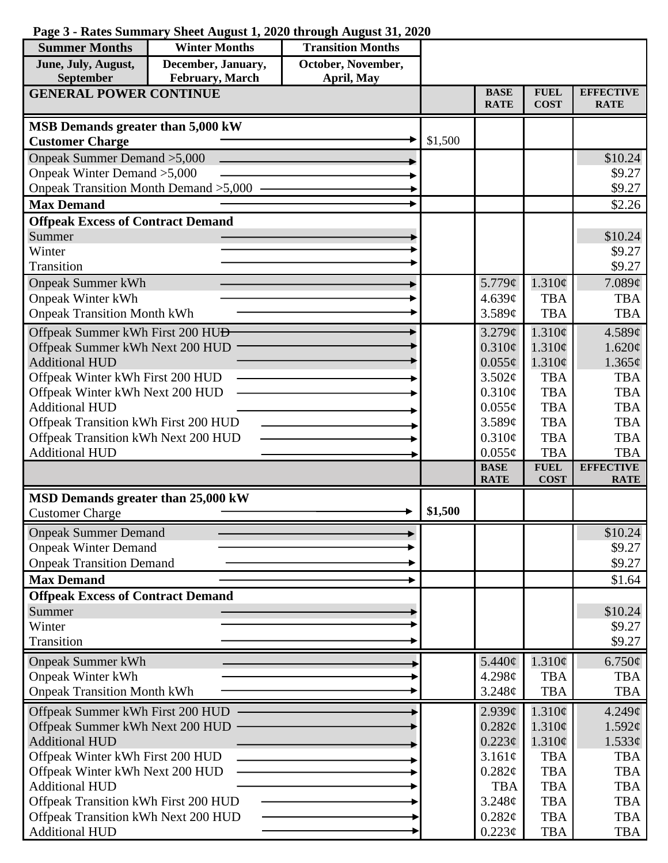## **Page 3 - Rates Summary Sheet August 1, 2020 through August 31, 2020**

| <b>Summer Months</b>                                                            | <b>Winter Months</b>                  | <b>Transition Months</b>         |         |                            |                            |                                 |
|---------------------------------------------------------------------------------|---------------------------------------|----------------------------------|---------|----------------------------|----------------------------|---------------------------------|
| June, July, August,<br>September                                                | December, January,<br>February, March | October, November,<br>April, May |         |                            |                            |                                 |
| <b>GENERAL POWER CONTINUE</b>                                                   |                                       |                                  |         | <b>BASE</b><br><b>RATE</b> | <b>FUEL</b><br><b>COST</b> | <b>EFFECTIVE</b><br><b>RATE</b> |
| MSB Demands greater than 5,000 kW                                               |                                       |                                  |         |                            |                            |                                 |
| <b>Customer Charge</b>                                                          |                                       |                                  | \$1,500 |                            |                            |                                 |
| Onpeak Summer Demand > 5,000                                                    |                                       |                                  |         |                            |                            | \$10.24                         |
| Onpeak Winter Demand > 5,000                                                    |                                       |                                  |         |                            |                            | \$9.27                          |
| Onpeak Transition Month Demand > 5,000                                          |                                       |                                  |         |                            |                            | \$9.27                          |
| <b>Max Demand</b>                                                               |                                       |                                  |         |                            |                            | \$2.26                          |
| <b>Offpeak Excess of Contract Demand</b>                                        |                                       |                                  |         |                            |                            |                                 |
| Summer                                                                          |                                       |                                  |         |                            |                            | \$10.24                         |
| Winter                                                                          |                                       |                                  |         |                            |                            | \$9.27                          |
| Transition                                                                      |                                       |                                  |         |                            |                            | \$9.27                          |
| <b>Onpeak Summer kWh</b>                                                        |                                       |                                  |         | 5.779¢                     | $1.310\phi$                | 7.089¢                          |
| <b>Onpeak Winter kWh</b>                                                        |                                       |                                  |         | 4.639¢                     | <b>TBA</b>                 | <b>TBA</b>                      |
| <b>Onpeak Transition Month kWh</b>                                              |                                       |                                  |         | 3.589¢                     | <b>TBA</b>                 | <b>TBA</b>                      |
|                                                                                 |                                       |                                  |         | $3.279$ ¢                  | 1.310¢                     | 4.589¢                          |
| Offpeak Summer kWh First 200 HU <del>D</del><br>Offpeak Summer kWh Next 200 HUD |                                       |                                  |         | 0.310¢                     | 1.310¢                     | 1.620¢                          |
| <b>Additional HUD</b>                                                           |                                       |                                  |         | $0.055\phi$                | $1.310\phi$                | 1.365¢                          |
| Offpeak Winter kWh First 200 HUD                                                |                                       |                                  |         | 3.502¢                     | <b>TBA</b>                 | <b>TBA</b>                      |
| Offpeak Winter kWh Next 200 HUD                                                 |                                       |                                  |         | 0.310¢                     | <b>TBA</b>                 | <b>TBA</b>                      |
| <b>Additional HUD</b>                                                           |                                       |                                  |         | $0.055\phi$                | <b>TBA</b>                 | <b>TBA</b>                      |
| Offpeak Transition kWh First 200 HUD                                            |                                       |                                  |         | 3.589¢                     | <b>TBA</b>                 | <b>TBA</b>                      |
| Offpeak Transition kWh Next 200 HUD                                             |                                       |                                  |         | 0.310¢                     | <b>TBA</b>                 | <b>TBA</b>                      |
| <b>Additional HUD</b>                                                           |                                       |                                  |         | $0.055\phi$                | <b>TBA</b>                 | <b>TBA</b>                      |
|                                                                                 |                                       |                                  |         | <b>BASE</b>                | <b>FUEL</b>                | <b>EFFECTIVE</b>                |
|                                                                                 |                                       |                                  |         | <b>RATE</b>                | <b>COST</b>                | <b>RATE</b>                     |
| MSD Demands greater than 25,000 kW                                              |                                       |                                  |         |                            |                            |                                 |
| <b>Customer Charge</b>                                                          |                                       |                                  | \$1,500 |                            |                            |                                 |
| <b>Onpeak Summer Demand</b>                                                     |                                       |                                  |         |                            |                            | \$10.24                         |
| <b>Onpeak Winter Demand</b>                                                     |                                       |                                  |         |                            |                            | \$9.27                          |
| <b>Onpeak Transition Demand</b>                                                 |                                       |                                  |         |                            |                            | \$9.27                          |
| <b>Max Demand</b>                                                               |                                       |                                  |         |                            |                            | \$1.64                          |
| <b>Offpeak Excess of Contract Demand</b>                                        |                                       |                                  |         |                            |                            |                                 |
| Summer                                                                          |                                       |                                  |         |                            |                            | \$10.24                         |
| Winter                                                                          |                                       |                                  |         |                            |                            | \$9.27                          |
| Transition                                                                      |                                       |                                  |         |                            |                            | \$9.27                          |
| <b>Onpeak Summer kWh</b>                                                        |                                       |                                  |         | 5.440¢                     | 1.310¢                     | $6.750\phi$                     |
| <b>Onpeak Winter kWh</b>                                                        |                                       |                                  |         | 4.298c                     | <b>TBA</b>                 | <b>TBA</b>                      |
| <b>Onpeak Transition Month kWh</b>                                              |                                       |                                  |         | 3.248¢                     | <b>TBA</b>                 | <b>TBA</b>                      |
|                                                                                 |                                       |                                  |         |                            |                            |                                 |
| Offpeak Summer kWh First 200 HUD                                                |                                       |                                  |         | $2.939\mathcal{C}$         | 1.310¢                     | $4.249\mathcal{C}$              |
| Offpeak Summer kWh Next 200 HUD<br><b>Additional HUD</b>                        |                                       |                                  |         | 0.282¢                     | 1.310¢                     | $1.592\ell$                     |
|                                                                                 |                                       |                                  |         | $0.223\phi$                | 1.310¢<br><b>TBA</b>       | $1.533\ell$                     |
| Offpeak Winter kWh First 200 HUD                                                |                                       |                                  |         | 3.161¢                     | <b>TBA</b>                 | <b>TBA</b><br><b>TBA</b>        |
| Offpeak Winter kWh Next 200 HUD<br><b>Additional HUD</b>                        |                                       |                                  |         | 0.282¢<br><b>TBA</b>       | <b>TBA</b>                 | <b>TBA</b>                      |
| Offpeak Transition kWh First 200 HUD                                            |                                       |                                  |         | 3.248¢                     | <b>TBA</b>                 | <b>TBA</b>                      |
| Offpeak Transition kWh Next 200 HUD                                             |                                       |                                  |         | 0.282¢                     | <b>TBA</b>                 | <b>TBA</b>                      |
| <b>Additional HUD</b>                                                           |                                       |                                  |         | $0.223\phi$                | <b>TBA</b>                 | <b>TBA</b>                      |